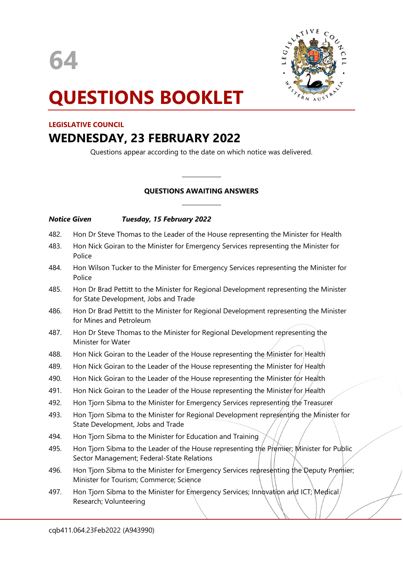



# **QUESTIONS BOOKLET**

#### **LEGISLATIVE COUNCIL**

## **WEDNESDAY, 23 FEBRUARY 2022**

Questions appear according to the date on which notice was delivered.

## **QUESTIONS AWAITING ANSWERS**

 $\overline{\phantom{a}}$ 

 $\overline{\phantom{a}}$ 

### *Notice Given Tuesday, 15 February 2022*

- 482. Hon Dr Steve Thomas to the Leader of the House representing the Minister for Health
- 483. Hon Nick Goiran to the Minister for Emergency Services representing the Minister for Police
- 484. Hon Wilson Tucker to the Minister for Emergency Services representing the Minister for Police
- 485. Hon Dr Brad Pettitt to the Minister for Regional Development representing the Minister for State Development, Jobs and Trade
- 486. Hon Dr Brad Pettitt to the Minister for Regional Development representing the Minister for Mines and Petroleum
- 487. Hon Dr Steve Thomas to the Minister for Regional Development representing the Minister for Water
- 488. Hon Nick Goiran to the Leader of the House representing the Minister for Health
- 489. Hon Nick Goiran to the Leader of the House representing the Minister for Health
- 490. Hon Nick Goiran to the Leader of the House representing the Minister for Health
- 491. Hon Nick Goiran to the Leader of the House representing the Minister for Health
- 492. Hon Tjorn Sibma to the Minister for Emergency Services representing the Treasurer
- 493. Hon Tjorn Sibma to the Minister for Regional Development representing the Minister for State Development, Jobs and Trade
- 494. Hon Tjorn Sibma to the Minister for Education and Training
- 495. Hon Tjorn Sibma to the Leader of the House representing the Premier; Minister for Public Sector Management; Federal-State Relations
- 496. Hon Tjorn Sibma to the Minister for Emergency Services representing the Deputy Premier; Minister for Tourism; Commerce; Science
- 497. Hon Tjorn Sibma to the Minister for Emergency Services; Innovation and ICT; Medical Research; Volunteering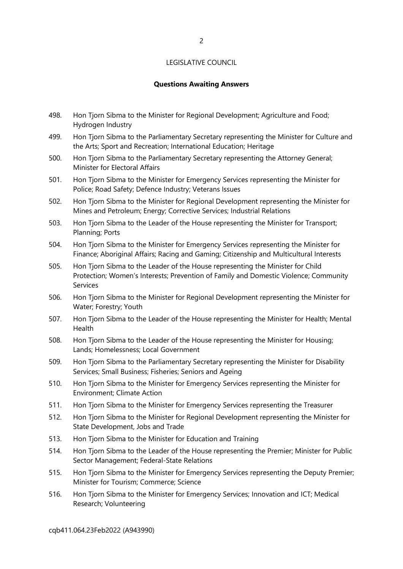#### **Questions Awaiting Answers**

- 498. Hon Tjorn Sibma to the Minister for Regional Development; Agriculture and Food; Hydrogen Industry
- 499. Hon Tjorn Sibma to the Parliamentary Secretary representing the Minister for Culture and the Arts; Sport and Recreation; International Education; Heritage
- 500. Hon Tjorn Sibma to the Parliamentary Secretary representing the Attorney General; Minister for Electoral Affairs
- 501. Hon Tjorn Sibma to the Minister for Emergency Services representing the Minister for Police; Road Safety; Defence Industry; Veterans Issues
- 502. Hon Tjorn Sibma to the Minister for Regional Development representing the Minister for Mines and Petroleum; Energy; Corrective Services; Industrial Relations
- 503. Hon Tjorn Sibma to the Leader of the House representing the Minister for Transport; Planning; Ports
- 504. Hon Tjorn Sibma to the Minister for Emergency Services representing the Minister for Finance; Aboriginal Affairs; Racing and Gaming; Citizenship and Multicultural Interests
- 505. Hon Tjorn Sibma to the Leader of the House representing the Minister for Child Protection; Women's Interests; Prevention of Family and Domestic Violence; Community Services
- 506. Hon Tjorn Sibma to the Minister for Regional Development representing the Minister for Water; Forestry; Youth
- 507. Hon Tjorn Sibma to the Leader of the House representing the Minister for Health; Mental Health
- 508. Hon Tjorn Sibma to the Leader of the House representing the Minister for Housing; Lands; Homelessness; Local Government
- 509. Hon Tjorn Sibma to the Parliamentary Secretary representing the Minister for Disability Services; Small Business; Fisheries; Seniors and Ageing
- 510. Hon Tjorn Sibma to the Minister for Emergency Services representing the Minister for Environment; Climate Action
- 511. Hon Tjorn Sibma to the Minister for Emergency Services representing the Treasurer
- 512. Hon Tjorn Sibma to the Minister for Regional Development representing the Minister for State Development, Jobs and Trade
- 513. Hon Tjorn Sibma to the Minister for Education and Training
- 514. Hon Tjorn Sibma to the Leader of the House representing the Premier; Minister for Public Sector Management; Federal-State Relations
- 515. Hon Tjorn Sibma to the Minister for Emergency Services representing the Deputy Premier; Minister for Tourism; Commerce; Science
- 516. Hon Tjorn Sibma to the Minister for Emergency Services; Innovation and ICT; Medical Research; Volunteering

cqb411.064.23Feb2022 (A943990)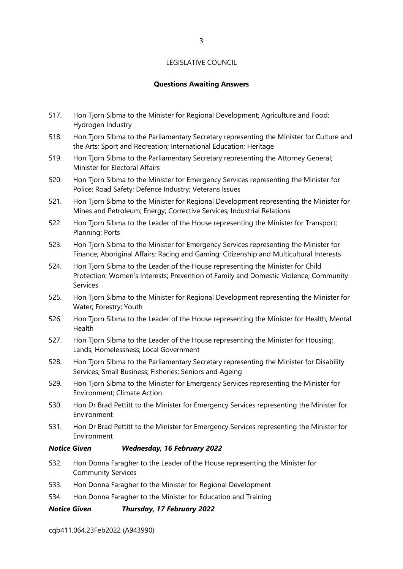#### **Questions Awaiting Answers**

- 517. Hon Tjorn Sibma to the Minister for Regional Development; Agriculture and Food; Hydrogen Industry
- 518. Hon Tjorn Sibma to the Parliamentary Secretary representing the Minister for Culture and the Arts; Sport and Recreation; International Education; Heritage
- 519. Hon Tjorn Sibma to the Parliamentary Secretary representing the Attorney General; Minister for Electoral Affairs
- 520. Hon Tjorn Sibma to the Minister for Emergency Services representing the Minister for Police; Road Safety; Defence Industry; Veterans Issues
- 521. Hon Tjorn Sibma to the Minister for Regional Development representing the Minister for Mines and Petroleum; Energy; Corrective Services; Industrial Relations
- 522. Hon Tjorn Sibma to the Leader of the House representing the Minister for Transport; Planning; Ports
- 523. Hon Tjorn Sibma to the Minister for Emergency Services representing the Minister for Finance; Aboriginal Affairs; Racing and Gaming; Citizenship and Multicultural Interests
- 524. Hon Tjorn Sibma to the Leader of the House representing the Minister for Child Protection; Women's Interests; Prevention of Family and Domestic Violence; Community Services
- 525. Hon Tjorn Sibma to the Minister for Regional Development representing the Minister for Water; Forestry; Youth
- 526. Hon Tjorn Sibma to the Leader of the House representing the Minister for Health; Mental Health
- 527. Hon Tjorn Sibma to the Leader of the House representing the Minister for Housing; Lands; Homelessness; Local Government
- 528. Hon Tjorn Sibma to the Parliamentary Secretary representing the Minister for Disability Services; Small Business; Fisheries; Seniors and Ageing
- 529. Hon Tjorn Sibma to the Minister for Emergency Services representing the Minister for Environment; Climate Action
- 530. Hon Dr Brad Pettitt to the Minister for Emergency Services representing the Minister for Environment
- 531. Hon Dr Brad Pettitt to the Minister for Emergency Services representing the Minister for Environment

#### *Notice Given Wednesday, 16 February 2022*

- 532. Hon Donna Faragher to the Leader of the House representing the Minister for Community Services
- 533. Hon Donna Faragher to the Minister for Regional Development
- 534. Hon Donna Faragher to the Minister for Education and Training

#### *Notice Given Thursday, 17 February 2022*

cqb411.064.23Feb2022 (A943990)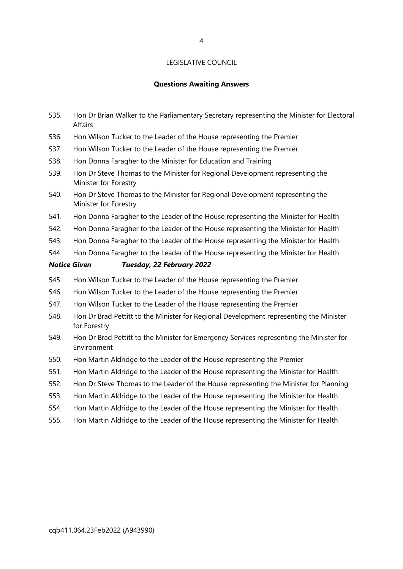#### **Questions Awaiting Answers**

- 535. Hon Dr Brian Walker to the Parliamentary Secretary representing the Minister for Electoral Affairs
- 536. Hon Wilson Tucker to the Leader of the House representing the Premier
- 537. Hon Wilson Tucker to the Leader of the House representing the Premier
- 538. Hon Donna Faragher to the Minister for Education and Training
- 539. Hon Dr Steve Thomas to the Minister for Regional Development representing the Minister for Forestry
- 540. Hon Dr Steve Thomas to the Minister for Regional Development representing the Minister for Forestry
- 541. Hon Donna Faragher to the Leader of the House representing the Minister for Health
- 542. Hon Donna Faragher to the Leader of the House representing the Minister for Health
- 543. Hon Donna Faragher to the Leader of the House representing the Minister for Health
- 544. Hon Donna Faragher to the Leader of the House representing the Minister for Health

#### *Notice Given Tuesday, 22 February 2022*

- 545. Hon Wilson Tucker to the Leader of the House representing the Premier
- 546. Hon Wilson Tucker to the Leader of the House representing the Premier
- 547. Hon Wilson Tucker to the Leader of the House representing the Premier
- 548. Hon Dr Brad Pettitt to the Minister for Regional Development representing the Minister for Forestry
- 549. Hon Dr Brad Pettitt to the Minister for Emergency Services representing the Minister for Environment
- 550. Hon Martin Aldridge to the Leader of the House representing the Premier
- 551. Hon Martin Aldridge to the Leader of the House representing the Minister for Health
- 552. Hon Dr Steve Thomas to the Leader of the House representing the Minister for Planning
- 553. Hon Martin Aldridge to the Leader of the House representing the Minister for Health
- 554. Hon Martin Aldridge to the Leader of the House representing the Minister for Health
- 555. Hon Martin Aldridge to the Leader of the House representing the Minister for Health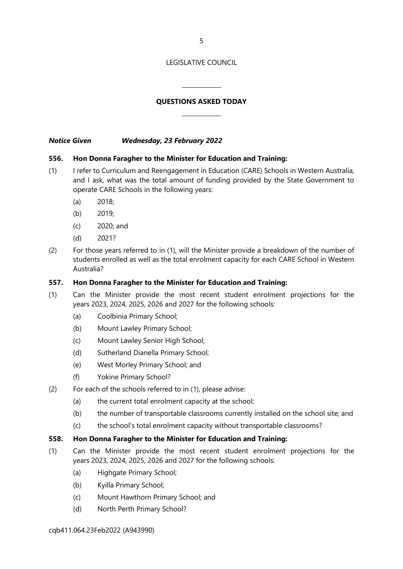5

#### LEGISLATIVE COUNCIL

### **QUESTIONS ASKED TODAY**

 $\overline{a}$ 

 $\overline{\phantom{a}}$ 

*Notice Given Wednesday, 23 February 2022*

#### **556. Hon Donna Faragher to the Minister for Education and Training:**

- (1) I refer to Curriculum and Reengagement in Education (CARE) Schools in Western Australia, and I ask, what was the total amount of funding provided by the State Government to operate CARE Schools in the following years:
	- (a) 2018;
	- (b) 2019;
	- (c) 2020; and
	- (d) 2021?
- (2) For those years referred to in (1), will the Minister provide a breakdown of the number of students enrolled as well as the total enrolment capacity for each CARE School in Western Australia?

#### **557. Hon Donna Faragher to the Minister for Education and Training:**

- (1) Can the Minister provide the most recent student enrolment projections for the years 2023, 2024, 2025, 2026 and 2027 for the following schools:
	- (a) Coolbinia Primary School;
	- (b) Mount Lawley Primary School;
	- (c) Mount Lawley Senior High School;
	- (d) Sutherland Dianella Primary School;
	- (e) West Morley Primary School; and
	- (f) Yokine Primary School?
- (2) For each of the schools referred to in (1), please advise:
	- (a) the current total enrolment capacity at the school;
	- (b) the number of transportable classrooms currently installed on the school site; and
	- (c) the school's total enrolment capacity without transportable classrooms?

#### **558. Hon Donna Faragher to the Minister for Education and Training:**

- (1) Can the Minister provide the most recent student enrolment projections for the years 2023, 2024, 2025, 2026 and 2027 for the following schools:
	- (a) Highgate Primary School;
	- (b) Kyilla Primary School;
	- (c) Mount Hawthorn Primary School; and
	- (d) North Perth Primary School?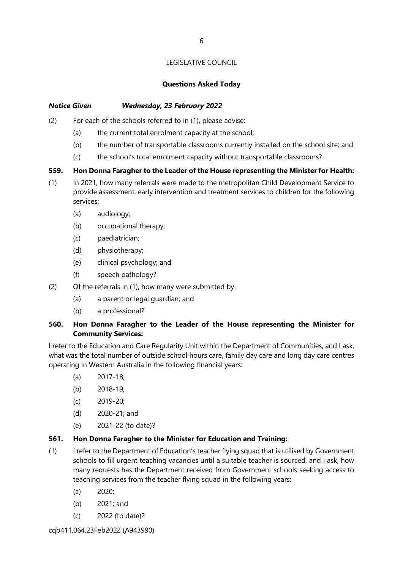#### **Questions Asked Today**

#### *Notice Given Wednesday, 23 February 2022*

- (2) For each of the schools referred to in (1), please advise:
	- (a) the current total enrolment capacity at the school;
	- (b) the number of transportable classrooms currently installed on the school site; and
	- (c) the school's total enrolment capacity without transportable classrooms?

#### **559. Hon Donna Faragher to the Leader of the House representing the Minister for Health:**

- (1) In 2021, how many referrals were made to the metropolitan Child Development Service to provide assessment, early intervention and treatment services to children for the following services:
	- (a) audiology;
	- (b) occupational therapy;
	- (c) paediatrician;
	- (d) physiotherapy;
	- (e) clinical psychology; and
	- (f) speech pathology?
- (2) Of the referrals in (1), how many were submitted by:
	- (a) a parent or legal guardian; and
	- (b) a professional?

### **560. Hon Donna Faragher to the Leader of the House representing the Minister for Community Services:**

I refer to the Education and Care Regularity Unit within the Department of Communities, and I ask, what was the total number of outside school hours care, family day care and long day care centres operating in Western Australia in the following financial years:

- (a) 2017-18;
- (b) 2018-19;
- (c) 2019-20;
- (d) 2020-21; and
- (e) 2021-22 (to date)?

#### **561. Hon Donna Faragher to the Minister for Education and Training:**

- (1) I refer to the Department of Education's teacher flying squad that is utilised by Government schools to fill urgent teaching vacancies until a suitable teacher is sourced, and I ask, how many requests has the Department received from Government schools seeking access to teaching services from the teacher flying squad in the following years:
	- (a) 2020;
	- (b) 2021; and
	- (c) 2022 (to date)?

cqb411.064.23Feb2022 (A943990)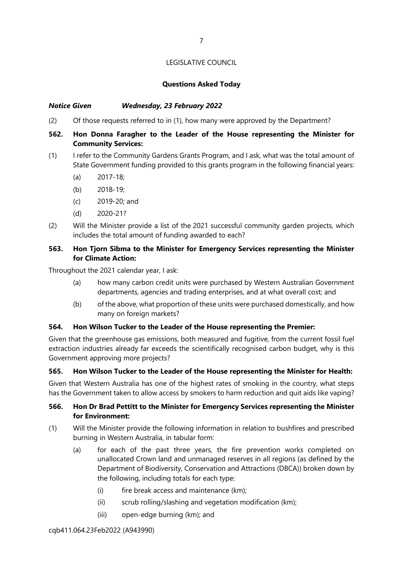#### **Questions Asked Today**

#### *Notice Given Wednesday, 23 February 2022*

(2) Of those requests referred to in (1), how many were approved by the Department?

### **562. Hon Donna Faragher to the Leader of the House representing the Minister for Community Services:**

- (1) I refer to the Community Gardens Grants Program, and I ask, what was the total amount of State Government funding provided to this grants program in the following financial years:
	- (a) 2017-18;
	- (b) 2018-19;
	- (c) 2019-20; and
	- (d) 2020-21?
- (2) Will the Minister provide a list of the 2021 successful community garden projects, which includes the total amount of funding awarded to each?

### **563. Hon Tjorn Sibma to the Minister for Emergency Services representing the Minister for Climate Action:**

Throughout the 2021 calendar year, I ask:

- (a) how many carbon credit units were purchased by Western Australian Government departments, agencies and trading enterprises, and at what overall cost; and
- (b) of the above, what proportion of these units were purchased domestically, and how many on foreign markets?

#### **564. Hon Wilson Tucker to the Leader of the House representing the Premier:**

Given that the greenhouse gas emissions, both measured and fugitive, from the current fossil fuel extraction industries already far exceeds the scientifically recognised carbon budget, why is this Government approving more projects?

#### **565. Hon Wilson Tucker to the Leader of the House representing the Minister for Health:**

Given that Western Australia has one of the highest rates of smoking in the country, what steps has the Government taken to allow access by smokers to harm reduction and quit aids like vaping?

#### **566. Hon Dr Brad Pettitt to the Minister for Emergency Services representing the Minister for Environment:**

- (1) Will the Minister provide the following information in relation to bushfires and prescribed burning in Western Australia, in tabular form:
	- (a) for each of the past three years, the fire prevention works completed on unallocated Crown land and unmanaged reserves in all regions (as defined by the Department of Biodiversity, Conservation and Attractions (DBCA)) broken down by the following, including totals for each type:
		- (i) fire break access and maintenance (km);
		- (ii) scrub rolling/slashing and vegetation modification (km);
		- (iii) open-edge burning (km); and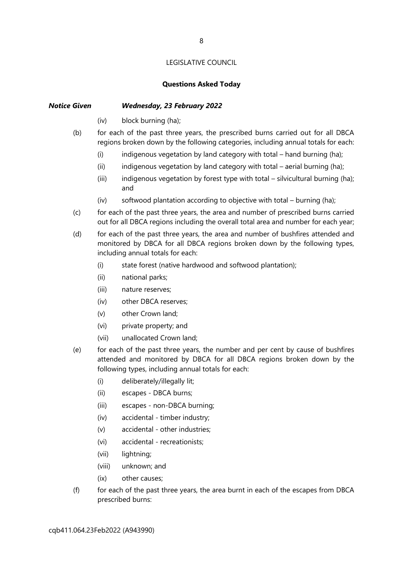#### **Questions Asked Today**

### *Notice Given Wednesday, 23 February 2022*

- (iv) block burning (ha);
- (b) for each of the past three years, the prescribed burns carried out for all DBCA regions broken down by the following categories, including annual totals for each:
	- (i) indigenous vegetation by land category with total hand burning (ha);
	- (ii) indigenous vegetation by land category with total aerial burning (ha);
	- (iii) indigenous vegetation by forest type with total silvicultural burning (ha); and
	- (iv) softwood plantation according to objective with total burning (ha);
- (c) for each of the past three years, the area and number of prescribed burns carried out for all DBCA regions including the overall total area and number for each year;
- (d) for each of the past three years, the area and number of bushfires attended and monitored by DBCA for all DBCA regions broken down by the following types, including annual totals for each:
	- (i) state forest (native hardwood and softwood plantation);
	- (ii) national parks;
	- (iii) nature reserves;
	- (iv) other DBCA reserves;
	- (v) other Crown land;
	- (vi) private property; and
	- (vii) unallocated Crown land;
- (e) for each of the past three years, the number and per cent by cause of bushfires attended and monitored by DBCA for all DBCA regions broken down by the following types, including annual totals for each:
	- (i) deliberately/illegally lit;
	- (ii) escapes DBCA burns;
	- (iii) escapes non-DBCA burning;
	- (iv) accidental timber industry;
	- (v) accidental other industries;
	- (vi) accidental recreationists;
	- (vii) lightning;
	- (viii) unknown; and
	- (ix) other causes;
- $(f)$  for each of the past three years, the area burnt in each of the escapes from DBCA prescribed burns: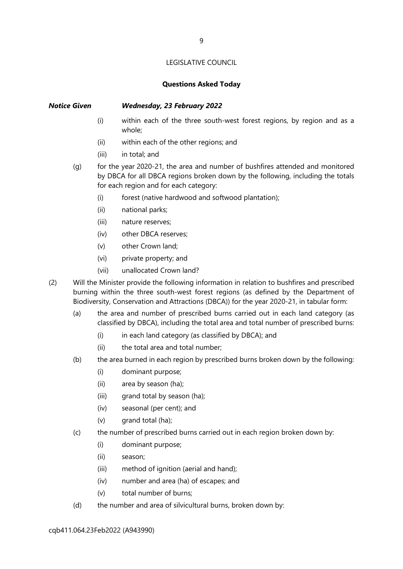#### **Questions Asked Today**

#### *Notice Given Wednesday, 23 February 2022*

- (i) within each of the three south-west forest regions, by region and as a whole;
- (ii) within each of the other regions; and
- (iii) in total; and
- (g) for the year 2020-21, the area and number of bushfires attended and monitored by DBCA for all DBCA regions broken down by the following, including the totals for each region and for each category:
	- (i) forest (native hardwood and softwood plantation);
	- (ii) national parks;
	- (iii) nature reserves;
	- (iv) other DBCA reserves;
	- (v) other Crown land;
	- (vi) private property; and
	- (vii) unallocated Crown land?
- (2) Will the Minister provide the following information in relation to bushfires and prescribed burning within the three south-west forest regions (as defined by the Department of Biodiversity, Conservation and Attractions (DBCA)) for the year 2020-21, in tabular form:
	- (a) the area and number of prescribed burns carried out in each land category (as classified by DBCA), including the total area and total number of prescribed burns:
		- (i) in each land category (as classified by DBCA); and
		- (ii) the total area and total number;
	- (b) the area burned in each region by prescribed burns broken down by the following:
		- (i) dominant purpose;
		- (ii) area by season (ha);
		- (iii) grand total by season (ha);
		- (iv) seasonal (per cent); and
		- (v) grand total (ha);
	- (c) the number of prescribed burns carried out in each region broken down by:
		- (i) dominant purpose;
		- (ii) season;
		- (iii) method of ignition (aerial and hand);
		- (iv) number and area (ha) of escapes; and
		- (v) total number of burns;
	- (d) the number and area of silvicultural burns, broken down by: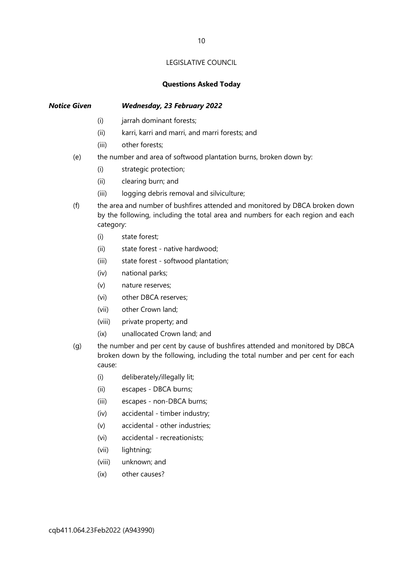#### **Questions Asked Today**

#### *Notice Given Wednesday, 23 February 2022*

- (i) jarrah dominant forests;
- (ii) karri, karri and marri, and marri forests; and
- (iii) other forests;
- (e) the number and area of softwood plantation burns, broken down by:
	- (i) strategic protection;
	- (ii) clearing burn; and
	- (iii) logging debris removal and silviculture;
- (f) the area and number of bushfires attended and monitored by DBCA broken down by the following, including the total area and numbers for each region and each category:
	- (i) state forest;
	- (ii) state forest native hardwood;
	- (iii) state forest softwood plantation;
	- (iv) national parks;
	- (v) nature reserves;
	- (vi) other DBCA reserves;
	- (vii) other Crown land;
	- (viii) private property; and
	- (ix) unallocated Crown land; and
- (g) the number and per cent by cause of bushfires attended and monitored by DBCA broken down by the following, including the total number and per cent for each cause:
	- (i) deliberately/illegally lit;
	- (ii) escapes DBCA burns;
	- (iii) escapes non-DBCA burns;
	- (iv) accidental timber industry;
	- (v) accidental other industries;
	- (vi) accidental recreationists;
	- (vii) lightning;
	- (viii) unknown; and
	- (ix) other causes?